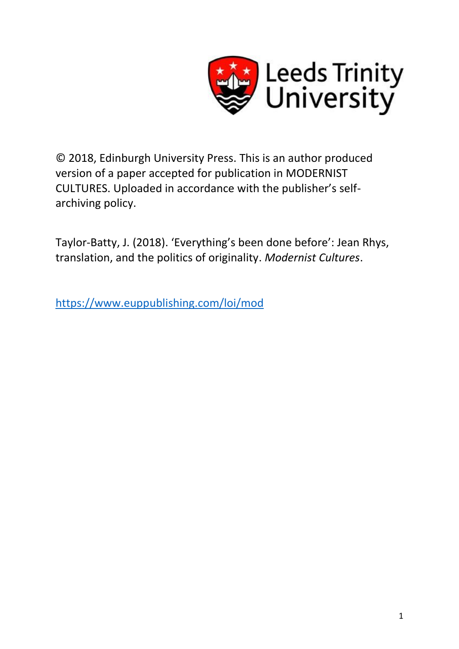

© 2018, Edinburgh University Press. This is an author produced version of a paper accepted for publication in MODERNIST CULTURES. Uploaded in accordance with the publisher's selfarchiving policy.

Taylor-Batty, J. (2018). 'Everything's been done before': Jean Rhys, translation, and the politics of originality. *Modernist Cultures*.

<https://www.euppublishing.com/loi/mod>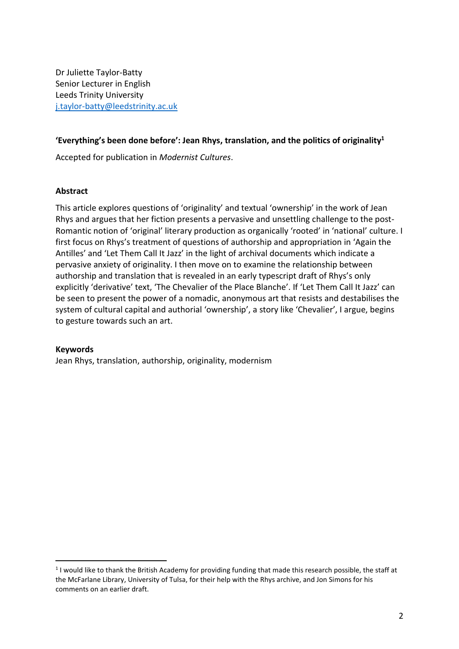Dr Juliette Taylor-Batty Senior Lecturer in English Leeds Trinity University [j.taylor-batty@leedstrinity.ac.uk](mailto:j.taylor-batty@leedstrinity.ac.uk)

# **'Everything's been done before': Jean Rhys, translation, and the politics of originality<sup>1</sup>**

Accepted for publication in *Modernist Cultures*.

## **Abstract**

This article explores questions of 'originality' and textual 'ownership' in the work of Jean Rhys and argues that her fiction presents a pervasive and unsettling challenge to the post-Romantic notion of 'original' literary production as organically 'rooted' in 'national' culture. I first focus on Rhys's treatment of questions of authorship and appropriation in 'Again the Antilles' and 'Let Them Call It Jazz' in the light of archival documents which indicate a pervasive anxiety of originality. I then move on to examine the relationship between authorship and translation that is revealed in an early typescript draft of Rhys's only explicitly 'derivative' text, 'The Chevalier of the Place Blanche'. If 'Let Them Call It Jazz' can be seen to present the power of a nomadic, anonymous art that resists and destabilises the system of cultural capital and authorial 'ownership', a story like 'Chevalier', I argue, begins to gesture towards such an art.

## **Keywords**

 $\overline{a}$ 

Jean Rhys, translation, authorship, originality, modernism

 $1$ I would like to thank the British Academy for providing funding that made this research possible, the staff at the McFarlane Library, University of Tulsa, for their help with the Rhys archive, and Jon Simons for his comments on an earlier draft.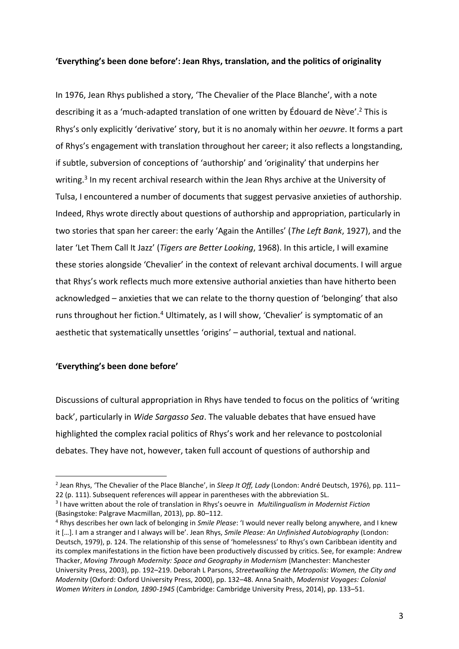## **'Everything's been done before': Jean Rhys, translation, and the politics of originality**

In 1976, Jean Rhys published a story, 'The Chevalier of the Place Blanche', with a note describing it as a 'much-adapted translation of one written by Édouard de Nève'. <sup>2</sup> This is Rhys's only explicitly 'derivative' story, but it is no anomaly within her *oeuvre*. It forms a part of Rhys's engagement with translation throughout her career; it also reflects a longstanding, if subtle, subversion of conceptions of 'authorship' and 'originality' that underpins her writing.<sup>3</sup> In my recent archival research within the Jean Rhys archive at the University of Tulsa, I encountered a number of documents that suggest pervasive anxieties of authorship. Indeed, Rhys wrote directly about questions of authorship and appropriation, particularly in two stories that span her career: the early 'Again the Antilles' (*The Left Bank*, 1927), and the later 'Let Them Call It Jazz' (*Tigers are Better Looking*, 1968). In this article, I will examine these stories alongside 'Chevalier' in the context of relevant archival documents. I will argue that Rhys's work reflects much more extensive authorial anxieties than have hitherto been acknowledged – anxieties that we can relate to the thorny question of 'belonging' that also runs throughout her fiction.<sup>4</sup> Ultimately, as I will show, 'Chevalier' is symptomatic of an aesthetic that systematically unsettles 'origins' – authorial, textual and national.

#### **'Everything's been done before'**

l

Discussions of cultural appropriation in Rhys have tended to focus on the politics of 'writing back', particularly in *Wide Sargasso Sea*. The valuable debates that have ensued have highlighted the complex racial politics of Rhys's work and her relevance to postcolonial debates. They have not, however, taken full account of questions of authorship and

<sup>2</sup> Jean Rhys, 'The Chevalier of the Place Blanche', in *Sleep It Off, Lady* (London: André Deutsch, 1976), pp. 111– 22 (p. 111). Subsequent references will appear in parentheses with the abbreviation SL.

<sup>3</sup> I have written about the role of translation in Rhys's oeuvre in *Multilingualism in Modernist Fiction* (Basingstoke: Palgrave Macmillan, 2013), pp. 80–112.

<sup>4</sup> Rhys describes her own lack of belonging in *Smile Please*: 'I would never really belong anywhere, and I knew it […]. I am a stranger and I always will be'. Jean Rhys, *Smile Please: An Unfinished Autobiography* (London: Deutsch, 1979), p. 124. The relationship of this sense of 'homelessness' to Rhys's own Caribbean identity and its complex manifestations in the fiction have been productively discussed by critics. See, for example: Andrew Thacker, *Moving Through Modernity: Space and Geography in Modernism* (Manchester: Manchester University Press, 2003), pp. 192–219. Deborah L Parsons, *Streetwalking the Metropolis: Women, the City and Modernity* (Oxford: Oxford University Press, 2000), pp. 132–48. Anna Snaith, *Modernist Voyages: Colonial Women Writers in London, 1890-1945* (Cambridge: Cambridge University Press, 2014), pp. 133–51.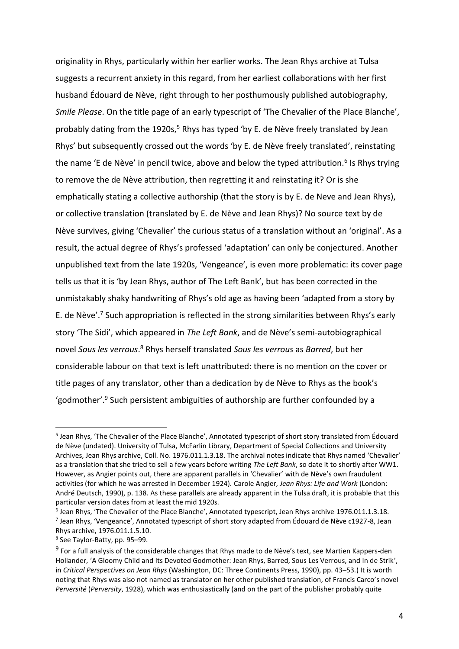originality in Rhys, particularly within her earlier works. The Jean Rhys archive at Tulsa suggests a recurrent anxiety in this regard, from her earliest collaborations with her first husband Édouard de Nève, right through to her posthumously published autobiography, *Smile Please*. On the title page of an early typescript of 'The Chevalier of the Place Blanche', probably dating from the 1920s,<sup>5</sup> Rhys has typed 'by E. de Nève freely translated by Jean Rhys' but subsequently crossed out the words 'by E. de Nève freely translated', reinstating the name 'E de Nève' in pencil twice, above and below the typed attribution.<sup>6</sup> Is Rhys trying to remove the de Nève attribution, then regretting it and reinstating it? Or is she emphatically stating a collective authorship (that the story is by E. de Neve and Jean Rhys), or collective translation (translated by E. de Nève and Jean Rhys)? No source text by de Nève survives, giving 'Chevalier' the curious status of a translation without an 'original'. As a result, the actual degree of Rhys's professed 'adaptation' can only be conjectured. Another unpublished text from the late 1920s, 'Vengeance', is even more problematic: its cover page tells us that it is 'by Jean Rhys, author of The Left Bank', but has been corrected in the unmistakably shaky handwriting of Rhys's old age as having been 'adapted from a story by E. de Nève'.<sup>7</sup> Such appropriation is reflected in the strong similarities between Rhys's early story 'The Sidi', which appeared in *The Left Bank*, and de Nève's semi-autobiographical novel *Sous les verrous*. <sup>8</sup> Rhys herself translated *Sous les verrous* as *Barred*, but her considerable labour on that text is left unattributed: there is no mention on the cover or title pages of any translator, other than a dedication by de Nève to Rhys as the book's 'godmother'.<sup>9</sup> Such persistent ambiguities of authorship are further confounded by a

<sup>&</sup>lt;sup>5</sup> Jean Rhys, 'The Chevalier of the Place Blanche', Annotated typescript of short story translated from Édouard de Nève (undated). University of Tulsa, McFarlin Library, Department of Special Collections and University Archives, Jean Rhys archive, Coll. No. 1976.011.1.3.18. The archival notes indicate that Rhys named 'Chevalier' as a translation that she tried to sell a few years before writing *The Left Bank*, so date it to shortly after WW1. However, as Angier points out, there are apparent parallels in 'Chevalier' with de Nève's own fraudulent activities (for which he was arrested in December 1924). Carole Angier, *Jean Rhys: Life and Work* (London: André Deutsch, 1990), p. 138. As these parallels are already apparent in the Tulsa draft, it is probable that this particular version dates from at least the mid 1920s.

<sup>6</sup> Jean Rhys, 'The Chevalier of the Place Blanche', Annotated typescript, Jean Rhys archive 1976.011.1.3.18. 7 Jean Rhys, 'Vengeance', Annotated typescript of short story adapted from Édouard de Nève c1927-8, Jean Rhys archive, 1976.011.1.5.10.

<sup>8</sup> See Taylor-Batty, pp. 95–99.

<sup>&</sup>lt;sup>9</sup> For a full analysis of the considerable changes that Rhys made to de Nève's text, see Martien Kappers-den Hollander, 'A Gloomy Child and Its Devoted Godmother: Jean Rhys, Barred, Sous Les Verrous, and In de Strik', in *Critical Perspectives on Jean Rhys* (Washington, DC: Three Continents Press, 1990), pp. 43–53.) It is worth noting that Rhys was also not named as translator on her other published translation, of Francis Carco's novel *Perversité* (*Perversity*, 1928), which was enthusiastically (and on the part of the publisher probably quite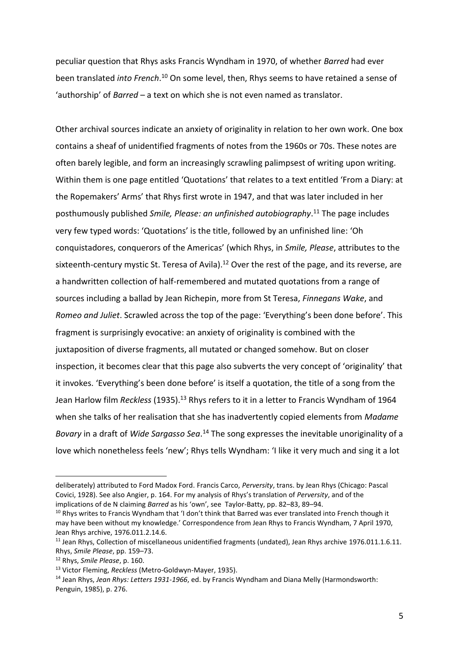peculiar question that Rhys asks Francis Wyndham in 1970, of whether *Barred* had ever been translated *into French*. <sup>10</sup> On some level, then, Rhys seems to have retained a sense of 'authorship' of *Barred* – a text on which she is not even named as translator.

Other archival sources indicate an anxiety of originality in relation to her own work. One box contains a sheaf of unidentified fragments of notes from the 1960s or 70s. These notes are often barely legible, and form an increasingly scrawling palimpsest of writing upon writing. Within them is one page entitled 'Quotations' that relates to a text entitled 'From a Diary: at the Ropemakers' Arms' that Rhys first wrote in 1947, and that was later included in her posthumously published *Smile, Please: an unfinished autobiography*. <sup>11</sup> The page includes very few typed words: 'Quotations' is the title, followed by an unfinished line: 'Oh conquistadores, conquerors of the Americas' (which Rhys, in *Smile, Please*, attributes to the sixteenth-century mystic St. Teresa of Avila).<sup>12</sup> Over the rest of the page, and its reverse, are a handwritten collection of half-remembered and mutated quotations from a range of sources including a ballad by Jean Richepin, more from St Teresa, *Finnegans Wake*, and *Romeo and Juliet*. Scrawled across the top of the page: 'Everything's been done before'. This fragment is surprisingly evocative: an anxiety of originality is combined with the juxtaposition of diverse fragments, all mutated or changed somehow. But on closer inspection, it becomes clear that this page also subverts the very concept of 'originality' that it invokes. 'Everything's been done before' is itself a quotation, the title of a song from the Jean Harlow film *Reckless* (1935).<sup>13</sup> Rhys refers to it in a letter to Francis Wyndham of 1964 when she talks of her realisation that she has inadvertently copied elements from *Madame Bovary* in a draft of *Wide Sargasso Sea*. <sup>14</sup> The song expresses the inevitable unoriginality of a love which nonetheless feels 'new'; Rhys tells Wyndham: 'I like it very much and sing it a lot

deliberately) attributed to Ford Madox Ford. Francis Carco, *Perversity*, trans. by Jean Rhys (Chicago: Pascal Covici, 1928). See also Angier, p. 164. For my analysis of Rhys's translation of *Perversity*, and of the implications of de N claiming *Barred* as his 'own', see Taylor-Batty, pp. 82–83, 89–94.

<sup>&</sup>lt;sup>10</sup> Rhys writes to Francis Wyndham that 'I don't think that Barred was ever translated into French though it may have been without my knowledge.' Correspondence from Jean Rhys to Francis Wyndham, 7 April 1970, Jean Rhys archive, 1976.011.2.14.6.

<sup>&</sup>lt;sup>11</sup> Jean Rhys, Collection of miscellaneous unidentified fragments (undated), Jean Rhys archive 1976.011.1.6.11. Rhys, *Smile Please*, pp. 159–73.

<sup>12</sup> Rhys, *Smile Please*, p. 160.

<sup>13</sup> Victor Fleming, *Reckless* (Metro-Goldwyn-Mayer, 1935).

<sup>14</sup> Jean Rhys, *Jean Rhys: Letters 1931-1966*, ed. by Francis Wyndham and Diana Melly (Harmondsworth: Penguin, 1985), p. 276.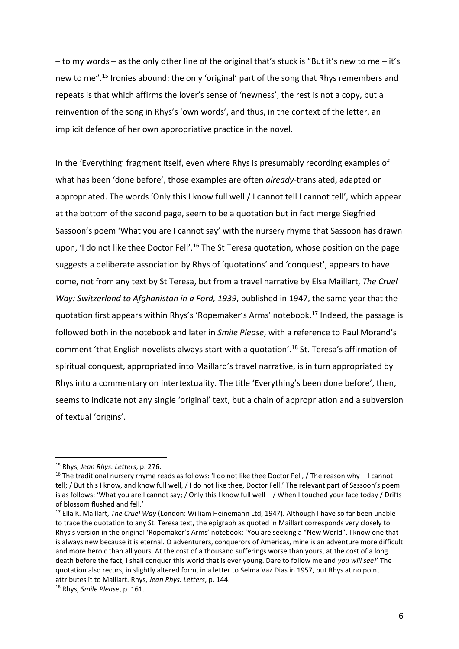– to my words – as the only other line of the original that's stuck is "But it's new to me – it's new to me".<sup>15</sup> Ironies abound: the only 'original' part of the song that Rhys remembers and repeats is that which affirms the lover's sense of 'newness'; the rest is not a copy, but a reinvention of the song in Rhys's 'own words', and thus, in the context of the letter, an implicit defence of her own appropriative practice in the novel.

In the 'Everything' fragment itself, even where Rhys is presumably recording examples of what has been 'done before', those examples are often *already*-translated, adapted or appropriated. The words 'Only this I know full well / I cannot tell I cannot tell', which appear at the bottom of the second page, seem to be a quotation but in fact merge Siegfried Sassoon's poem 'What you are I cannot say' with the nursery rhyme that Sassoon has drawn upon, 'I do not like thee Doctor Fell'.<sup>16</sup> The St Teresa quotation, whose position on the page suggests a deliberate association by Rhys of 'quotations' and 'conquest', appears to have come, not from any text by St Teresa, but from a travel narrative by Elsa Maillart, *The Cruel Way: Switzerland to Afghanistan in a Ford, 1939*, published in 1947, the same year that the quotation first appears within Rhys's 'Ropemaker's Arms' notebook. <sup>17</sup> Indeed, the passage is followed both in the notebook and later in *Smile Please*, with a reference to Paul Morand's comment 'that English novelists always start with a quotation'.<sup>18</sup> St. Teresa's affirmation of spiritual conquest, appropriated into Maillard's travel narrative, is in turn appropriated by Rhys into a commentary on intertextuality. The title 'Everything's been done before', then, seems to indicate not any single 'original' text, but a chain of appropriation and a subversion of textual 'origins'.

<sup>15</sup> Rhys, *Jean Rhys: Letters*, p. 276.

<sup>&</sup>lt;sup>16</sup> The traditional nursery rhyme reads as follows: 'I do not like thee Doctor Fell, / The reason why  $-1$  cannot tell; / But this I know, and know full well, / I do not like thee, Doctor Fell.' The relevant part of Sassoon's poem is as follows: 'What you are I cannot say; / Only this I know full well – / When I touched your face today / Drifts of blossom flushed and fell.'

<sup>17</sup> Ella K. Maillart, *The Cruel Way* (London: William Heinemann Ltd, 1947). Although I have so far been unable to trace the quotation to any St. Teresa text, the epigraph as quoted in Maillart corresponds very closely to Rhys's version in the original 'Ropemaker's Arms' notebook: 'You are seeking a "New World". I know one that is always new because it is eternal. O adventurers, conquerors of Americas, mine is an adventure more difficult and more heroic than all yours. At the cost of a thousand sufferings worse than yours, at the cost of a long death before the fact, I shall conquer this world that is ever young. Dare to follow me and *you will see!*' The quotation also recurs, in slightly altered form, in a letter to Selma Vaz Dias in 1957, but Rhys at no point attributes it to Maillart. Rhys, *Jean Rhys: Letters*, p. 144.

<sup>18</sup> Rhys, *Smile Please*, p. 161.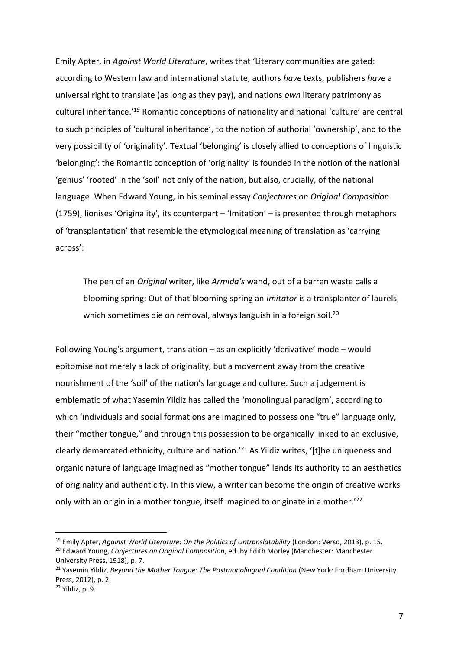Emily Apter, in *Against World Literature*, writes that 'Literary communities are gated: according to Western law and international statute, authors *have* texts, publishers *have* a universal right to translate (as long as they pay), and nations *own* literary patrimony as cultural inheritance.'<sup>19</sup> Romantic conceptions of nationality and national 'culture' are central to such principles of 'cultural inheritance', to the notion of authorial 'ownership', and to the very possibility of 'originality'. Textual 'belonging' is closely allied to conceptions of linguistic 'belonging': the Romantic conception of 'originality' is founded in the notion of the national 'genius' 'rooted' in the 'soil' not only of the nation, but also, crucially, of the national language. When Edward Young, in his seminal essay *Conjectures on Original Composition* (1759), lionises 'Originality', its counterpart – 'Imitation' – is presented through metaphors of 'transplantation' that resemble the etymological meaning of translation as 'carrying across':

The pen of an *Original* writer, like *Armida's* wand, out of a barren waste calls a blooming spring: Out of that blooming spring an *Imitator* is a transplanter of laurels, which sometimes die on removal, always languish in a foreign soil.<sup>20</sup>

Following Young's argument, translation – as an explicitly 'derivative' mode – would epitomise not merely a lack of originality, but a movement away from the creative nourishment of the 'soil' of the nation's language and culture. Such a judgement is emblematic of what Yasemin Yildiz has called the 'monolingual paradigm', according to which 'individuals and social formations are imagined to possess one "true" language only, their "mother tongue," and through this possession to be organically linked to an exclusive, clearly demarcated ethnicity, culture and nation.'<sup>21</sup> As Yildiz writes, '[t]he uniqueness and organic nature of language imagined as "mother tongue" lends its authority to an aesthetics of originality and authenticity. In this view, a writer can become the origin of creative works only with an origin in a mother tongue, itself imagined to originate in a mother.<sup>'22</sup>

<sup>19</sup> Emily Apter, *Against World Literature: On the Politics of Untranslatability* (London: Verso, 2013), p. 15. <sup>20</sup> Edward Young, *Conjectures on Original Composition*, ed. by Edith Morley (Manchester: Manchester University Press, 1918), p. 7.

<sup>&</sup>lt;sup>21</sup> Yasemin Yildiz, *Beyond the Mother Tonque: The Postmonolingual Condition* (New York: Fordham University Press, 2012), p. 2.

<sup>22</sup> Yildiz, p. 9.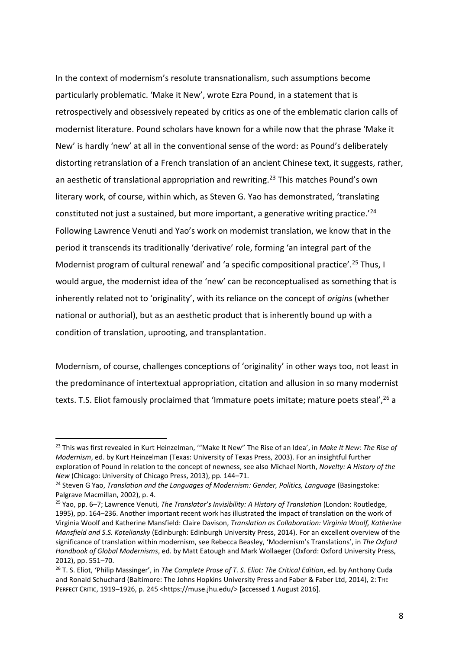In the context of modernism's resolute transnationalism, such assumptions become particularly problematic. 'Make it New', wrote Ezra Pound, in a statement that is retrospectively and obsessively repeated by critics as one of the emblematic clarion calls of modernist literature. Pound scholars have known for a while now that the phrase 'Make it New' is hardly 'new' at all in the conventional sense of the word: as Pound's deliberately distorting retranslation of a French translation of an ancient Chinese text, it suggests, rather, an aesthetic of translational appropriation and rewriting.<sup>23</sup> This matches Pound's own literary work, of course, within which, as Steven G. Yao has demonstrated, 'translating constituted not just a sustained, but more important, a generative writing practice.'<sup>24</sup> Following Lawrence Venuti and Yao's work on modernist translation, we know that in the period it transcends its traditionally 'derivative' role, forming 'an integral part of the Modernist program of cultural renewal' and 'a specific compositional practice'.<sup>25</sup> Thus, I would argue, the modernist idea of the 'new' can be reconceptualised as something that is inherently related not to 'originality', with its reliance on the concept of *origins* (whether national or authorial), but as an aesthetic product that is inherently bound up with a condition of translation, uprooting, and transplantation.

Modernism, of course, challenges conceptions of 'originality' in other ways too, not least in the predominance of intertextual appropriation, citation and allusion in so many modernist texts. T.S. Eliot famously proclaimed that 'Immature poets imitate; mature poets steal', <sup>26</sup> a

l <sup>23</sup> This was first revealed in Kurt Heinzelman, '"Make It New" The Rise of an Idea', in *Make It New: The Rise of Modernism*, ed. by Kurt Heinzelman (Texas: University of Texas Press, 2003). For an insightful further exploration of Pound in relation to the concept of newness, see also Michael North, *Novelty: A History of the New* (Chicago: University of Chicago Press, 2013), pp. 144–71.

<sup>24</sup> Steven G Yao, *Translation and the Languages of Modernism: Gender, Politics, Language* (Basingstoke: Palgrave Macmillan, 2002), p. 4.

<sup>25</sup> Yao, pp. 6–7; Lawrence Venuti, *The Translator's Invisibility: A History of Translation* (London: Routledge, 1995), pp. 164–236. Another important recent work has illustrated the impact of translation on the work of Virginia Woolf and Katherine Mansfield: Claire Davison, *Translation as Collaboration: Virginia Woolf, Katherine Mansfield and S.S. Koteliansky* (Edinburgh: Edinburgh University Press, 2014). For an excellent overview of the significance of translation within modernism, see Rebecca Beasley, 'Modernism's Translations', in *The Oxford Handbook of Global Modernisms*, ed. by Matt Eatough and Mark Wollaeger (Oxford: Oxford University Press, 2012), pp. 551–70.

<sup>26</sup> T. S. Eliot, 'Philip Massinger', in *The Complete Prose of T. S. Eliot: The Critical Edition*, ed. by Anthony Cuda and Ronald Schuchard (Baltimore: The Johns Hopkins University Press and Faber & Faber Ltd, 2014), 2: THE PERFECT CRITIC, 1919-1926, p. 245 <https://muse.jhu.edu/> [accessed 1 August 2016].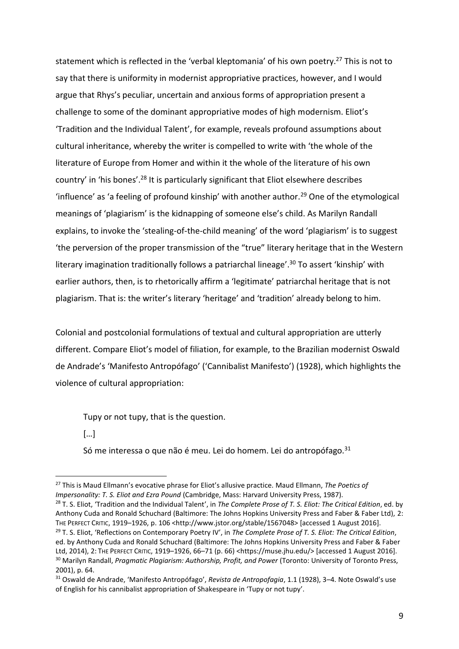statement which is reflected in the 'verbal kleptomania' of his own poetry.<sup>27</sup> This is not to say that there is uniformity in modernist appropriative practices, however, and I would argue that Rhys's peculiar, uncertain and anxious forms of appropriation present a challenge to some of the dominant appropriative modes of high modernism. Eliot's 'Tradition and the Individual Talent', for example, reveals profound assumptions about cultural inheritance, whereby the writer is compelled to write with 'the whole of the literature of Europe from Homer and within it the whole of the literature of his own country' in 'his bones'.<sup>28</sup> It is particularly significant that Eliot elsewhere describes 'influence' as 'a feeling of profound kinship' with another author.<sup>29</sup> One of the etymological meanings of 'plagiarism' is the kidnapping of someone else's child. As Marilyn Randall explains, to invoke the 'stealing-of-the-child meaning' of the word 'plagiarism' is to suggest 'the perversion of the proper transmission of the "true" literary heritage that in the Western literary imagination traditionally follows a patriarchal lineage'. <sup>30</sup> To assert 'kinship' with earlier authors, then, is to rhetorically affirm a 'legitimate' patriarchal heritage that is not plagiarism. That is: the writer's literary 'heritage' and 'tradition' already belong to him.

Colonial and postcolonial formulations of textual and cultural appropriation are utterly different. Compare Eliot's model of filiation, for example, to the Brazilian modernist Oswald de Andrade's 'Manifesto Antropófago' ('Cannibalist Manifesto') (1928), which highlights the violence of cultural appropriation:

Tupy or not tupy, that is the question.

[…]

l

Só me interessa o que não é meu. Lei do homem. Lei do antropófago.<sup>31</sup>

<sup>27</sup> This is Maud Ellmann's evocative phrase for Eliot's allusive practice. Maud Ellmann, *The Poetics of Impersonality: T. S. Eliot and Ezra Pound* (Cambridge, Mass: Harvard University Press, 1987).

<sup>28</sup> T. S. Eliot, 'Tradition and the Individual Talent', in *The Complete Prose of T. S. Eliot: The Critical Edition*, ed. by Anthony Cuda and Ronald Schuchard (Baltimore: The Johns Hopkins University Press and Faber & Faber Ltd), 2: THE PERFECT CRITIC, 1919–1926, p. 106 <http://www.jstor.org/stable/1567048> [accessed 1 August 2016].

<sup>29</sup> T. S. Eliot, 'Reflections on Contemporary Poetry IV', in *The Complete Prose of T. S. Eliot: The Critical Edition*, ed. by Anthony Cuda and Ronald Schuchard (Baltimore: The Johns Hopkins University Press and Faber & Faber Ltd, 2014), 2: THE PERFECT CRITIC, 1919–1926, 66–71 (p. 66) <https://muse.jhu.edu/> [accessed 1 August 2016]. <sup>30</sup> Marilyn Randall, *Pragmatic Plagiarism: Authorship, Profit, and Power* (Toronto: University of Toronto Press, 2001), p. 64.

<sup>31</sup> Oswald de Andrade, 'Manifesto Antropófago', *Revista de Antropofagia*, 1.1 (1928), 3–4. Note Oswald's use of English for his cannibalist appropriation of Shakespeare in 'Tupy or not tupy'.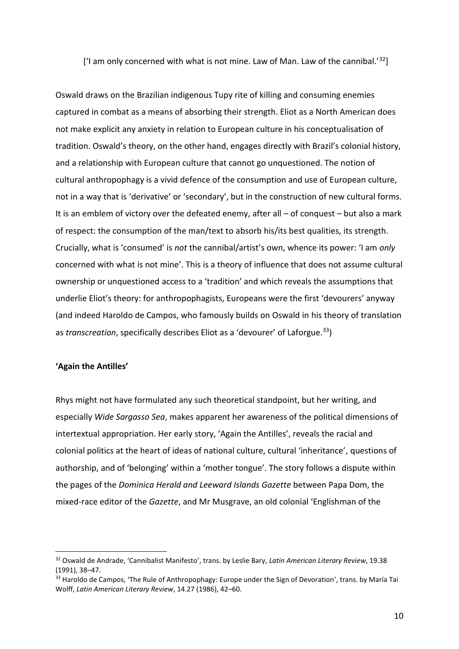['I am only concerned with what is not mine. Law of Man. Law of the cannibal.' $32$ ]

Oswald draws on the Brazilian indigenous Tupy rite of killing and consuming enemies captured in combat as a means of absorbing their strength. Eliot as a North American does not make explicit any anxiety in relation to European culture in his conceptualisation of tradition. Oswald's theory, on the other hand, engages directly with Brazil's colonial history, and a relationship with European culture that cannot go unquestioned. The notion of cultural anthropophagy is a vivid defence of the consumption and use of European culture, not in a way that is 'derivative' or 'secondary', but in the construction of new cultural forms. It is an emblem of victory over the defeated enemy, after all – of conquest – but also a mark of respect: the consumption of the man/text to absorb his/its best qualities, its strength. Crucially, what is 'consumed' is *not* the cannibal/artist's own, whence its power: 'I am *only* concerned with what is not mine'. This is a theory of influence that does not assume cultural ownership or unquestioned access to a 'tradition' and which reveals the assumptions that underlie Eliot's theory: for anthropophagists, Europeans were the first 'devourers' anyway (and indeed Haroldo de Campos, who famously builds on Oswald in his theory of translation as *transcreation*, specifically describes Eliot as a 'devourer' of Laforgue.<sup>33</sup>)

#### **'Again the Antilles'**

 $\overline{a}$ 

Rhys might not have formulated any such theoretical standpoint, but her writing, and especially *Wide Sargasso Sea*, makes apparent her awareness of the political dimensions of intertextual appropriation. Her early story, 'Again the Antilles', reveals the racial and colonial politics at the heart of ideas of national culture, cultural 'inheritance', questions of authorship, and of 'belonging' within a 'mother tongue'. The story follows a dispute within the pages of the *Dominica Herald and Leeward Islands Gazette* between Papa Dom, the mixed-race editor of the *Gazette*, and Mr Musgrave, an old colonial 'Englishman of the

<sup>32</sup> Oswald de Andrade, 'Cannibalist Manifesto', trans. by Leslie Bary, *Latin American Literary Review*, 19.38 (1991), 38–47.

 $33$  Haroldo de Campos, 'The Rule of Anthropophagy: Europe under the Sign of Devoration', trans. by María Tai Wolff, *Latin American Literary Review*, 14.27 (1986), 42–60.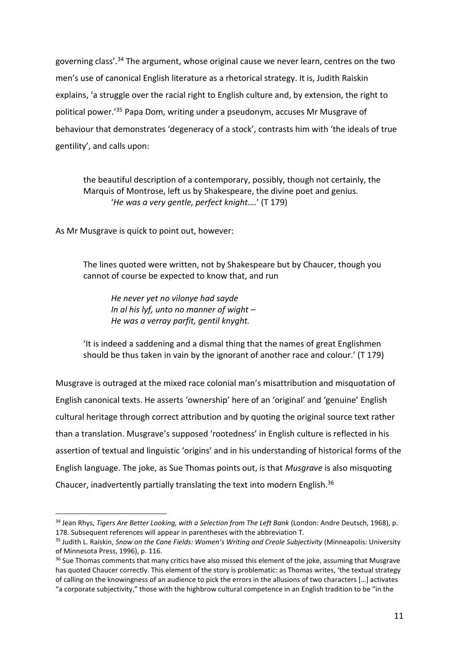governing class'. <sup>34</sup> The argument, whose original cause we never learn, centres on the two men's use of canonical English literature as a rhetorical strategy. It is, Judith Raiskin explains, 'a struggle over the racial right to English culture and, by extension, the right to political power.'<sup>35</sup> Papa Dom, writing under a pseudonym, accuses Mr Musgrave of behaviour that demonstrates 'degeneracy of a stock', contrasts him with 'the ideals of true gentility', and calls upon:

the beautiful description of a contemporary, possibly, though not certainly, the Marquis of Montrose, left us by Shakespeare, the divine poet and genius. '*He was a very gentle, perfect knight.…*' (T 179)

As Mr Musgrave is quick to point out, however:

 $\overline{a}$ 

The lines quoted were written, not by Shakespeare but by Chaucer, though you cannot of course be expected to know that, and run

*He never yet no vilonye had sayde In al his lyf, unto no manner of wight – He was a verray parfit, gentil knyght.* 

'It is indeed a saddening and a dismal thing that the names of great Englishmen should be thus taken in vain by the ignorant of another race and colour.' (T 179)

Musgrave is outraged at the mixed race colonial man's misattribution and misquotation of English canonical texts. He asserts 'ownership' here of an 'original' and 'genuine' English cultural heritage through correct attribution and by quoting the original source text rather than a translation. Musgrave's supposed 'rootedness' in English culture is reflected in his assertion of textual and linguistic 'origins' and in his understanding of historical forms of the English language. The joke, as Sue Thomas points out, is that *Musgrave* is also misquoting Chaucer, inadvertently partially translating the text into modern English.<sup>36</sup>

<sup>34</sup> Jean Rhys, *Tigers Are Better Looking, with a Selection from The Left Bank* (London: Andre Deutsch, 1968), p. 178. Subsequent references will appear in parentheses with the abbreviation T.

<sup>35</sup> Judith L. Raiskin, *Snow on the Cane Fields: Women's Writing and Creole Subjectivity* (Minneapolis: University of Minnesota Press, 1996), p. 116.

<sup>&</sup>lt;sup>36</sup> Sue Thomas comments that many critics have also missed this element of the joke, assuming that Musgrave has quoted Chaucer correctly. This element of the story is problematic: as Thomas writes, 'the textual strategy of calling on the knowingness of an audience to pick the errors in the allusions of two characters […] activates "a corporate subjectivity," those with the highbrow cultural competence in an English tradition to be "in the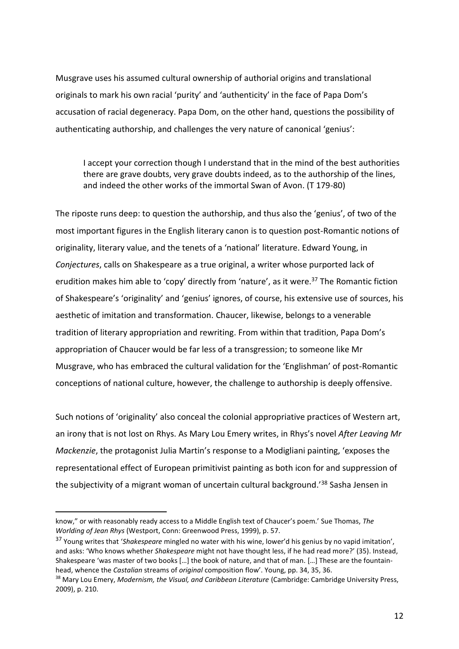Musgrave uses his assumed cultural ownership of authorial origins and translational originals to mark his own racial 'purity' and 'authenticity' in the face of Papa Dom's accusation of racial degeneracy. Papa Dom, on the other hand, questions the possibility of authenticating authorship, and challenges the very nature of canonical 'genius':

I accept your correction though I understand that in the mind of the best authorities there are grave doubts, very grave doubts indeed, as to the authorship of the lines, and indeed the other works of the immortal Swan of Avon. (T 179-80)

The riposte runs deep: to question the authorship, and thus also the 'genius', of two of the most important figures in the English literary canon is to question post-Romantic notions of originality, literary value, and the tenets of a 'national' literature. Edward Young, in *Conjectures*, calls on Shakespeare as a true original, a writer whose purported lack of erudition makes him able to 'copy' directly from 'nature', as it were.<sup>37</sup> The Romantic fiction of Shakespeare's 'originality' and 'genius' ignores, of course, his extensive use of sources, his aesthetic of imitation and transformation. Chaucer, likewise, belongs to a venerable tradition of literary appropriation and rewriting. From within that tradition, Papa Dom's appropriation of Chaucer would be far less of a transgression; to someone like Mr Musgrave, who has embraced the cultural validation for the 'Englishman' of post-Romantic conceptions of national culture, however, the challenge to authorship is deeply offensive.

Such notions of 'originality' also conceal the colonial appropriative practices of Western art, an irony that is not lost on Rhys. As Mary Lou Emery writes, in Rhys's novel *After Leaving Mr Mackenzie*, the protagonist Julia Martin's response to a Modigliani painting, 'exposes the representational effect of European primitivist painting as both icon for and suppression of the subjectivity of a migrant woman of uncertain cultural background.<sup>'38</sup> Sasha Jensen in

know," or with reasonably ready access to a Middle English text of Chaucer's poem.' Sue Thomas, *The Worlding of Jean Rhys* (Westport, Conn: Greenwood Press, 1999), p. 57.

<sup>37</sup> Young writes that '*Shakespeare* mingled no water with his wine, lower'd his genius by no vapid imitation', and asks: 'Who knows whether *Shakespeare* might not have thought less, if he had read more?' (35). Instead, Shakespeare 'was master of two books […] the book of nature, and that of man. […] These are the fountainhead, whence the *Castalian* streams of *original* composition flow'. Young, pp. 34, 35, 36.

<sup>&</sup>lt;sup>38</sup> Mary Lou Emery, *Modernism, the Visual, and Caribbean Literature* (Cambridge: Cambridge University Press, 2009), p. 210.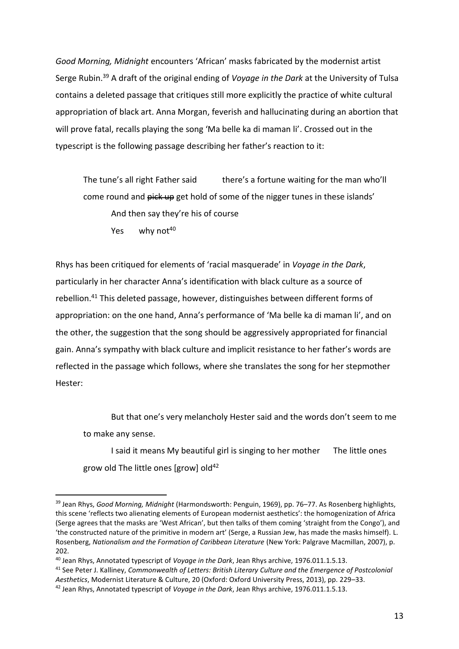*Good Morning, Midnight* encounters 'African' masks fabricated by the modernist artist Serge Rubin.<sup>39</sup> A draft of the original ending of *Voyage in the Dark* at the University of Tulsa contains a deleted passage that critiques still more explicitly the practice of white cultural appropriation of black art. Anna Morgan, feverish and hallucinating during an abortion that will prove fatal, recalls playing the song 'Ma belle ka di maman li'. Crossed out in the typescript is the following passage describing her father's reaction to it:

The tune's all right Father said there's a fortune waiting for the man who'll come round and pick up get hold of some of the nigger tunes in these islands' And then say they're his of course

Yes why not $40$ 

l

Rhys has been critiqued for elements of 'racial masquerade' in *Voyage in the Dark*, particularly in her character Anna's identification with black culture as a source of rebellion.<sup>41</sup> This deleted passage, however, distinguishes between different forms of appropriation: on the one hand, Anna's performance of 'Ma belle ka di maman li', and on the other, the suggestion that the song should be aggressively appropriated for financial gain. Anna's sympathy with black culture and implicit resistance to her father's words are reflected in the passage which follows, where she translates the song for her stepmother Hester:

But that one's very melancholy Hester said and the words don't seem to me to make any sense.

I said it means My beautiful girl is singing to her mother The little ones grow old The little ones [grow] old $42$ 

<sup>39</sup> Jean Rhys, *Good Morning, Midnight* (Harmondsworth: Penguin, 1969), pp. 76–77. As Rosenberg highlights, this scene 'reflects two alienating elements of European modernist aesthetics': the homogenization of Africa (Serge agrees that the masks are 'West African', but then talks of them coming 'straight from the Congo'), and 'the constructed nature of the primitive in modern art' (Serge, a Russian Jew, has made the masks himself). L. Rosenberg, *Nationalism and the Formation of Caribbean Literature* (New York: Palgrave Macmillan, 2007), p. 202.

<sup>40</sup> Jean Rhys, Annotated typescript of *Voyage in the Dark*, Jean Rhys archive, 1976.011.1.5.13.

<sup>41</sup> See Peter J. Kalliney, *Commonwealth of Letters: British Literary Culture and the Emergence of Postcolonial Aesthetics*, Modernist Literature & Culture, 20 (Oxford: Oxford University Press, 2013), pp. 229–33.

<sup>42</sup> Jean Rhys, Annotated typescript of *Voyage in the Dark*, Jean Rhys archive, 1976.011.1.5.13.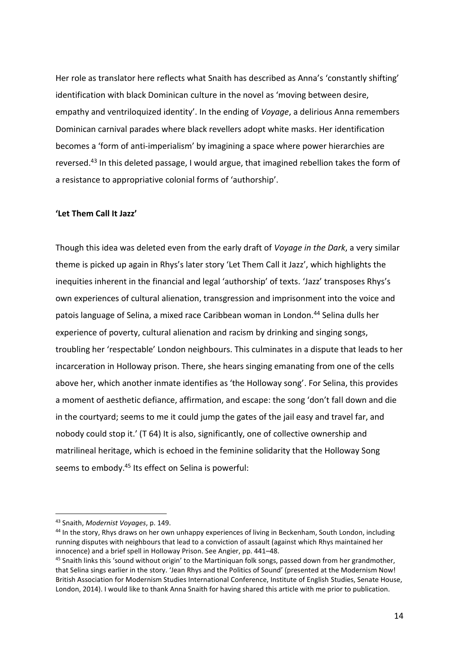Her role as translator here reflects what Snaith has described as Anna's 'constantly shifting' identification with black Dominican culture in the novel as 'moving between desire, empathy and ventriloquized identity'. In the ending of *Voyage*, a delirious Anna remembers Dominican carnival parades where black revellers adopt white masks. Her identification becomes a 'form of anti-imperialism' by imagining a space where power hierarchies are reversed. <sup>43</sup> In this deleted passage, I would argue, that imagined rebellion takes the form of a resistance to appropriative colonial forms of 'authorship'.

#### **'Let Them Call It Jazz'**

Though this idea was deleted even from the early draft of *Voyage in the Dark*, a very similar theme is picked up again in Rhys's later story 'Let Them Call it Jazz', which highlights the inequities inherent in the financial and legal 'authorship' of texts. 'Jazz' transposes Rhys's own experiences of cultural alienation, transgression and imprisonment into the voice and patois language of Selina, a mixed race Caribbean woman in London.<sup>44</sup> Selina dulls her experience of poverty, cultural alienation and racism by drinking and singing songs, troubling her 'respectable' London neighbours. This culminates in a dispute that leads to her incarceration in Holloway prison. There, she hears singing emanating from one of the cells above her, which another inmate identifies as 'the Holloway song'. For Selina, this provides a moment of aesthetic defiance, affirmation, and escape: the song 'don't fall down and die in the courtyard; seems to me it could jump the gates of the jail easy and travel far, and nobody could stop it.' (T 64) It is also, significantly, one of collective ownership and matrilineal heritage, which is echoed in the feminine solidarity that the Holloway Song seems to embody.<sup>45</sup> Its effect on Selina is powerful:

<sup>43</sup> Snaith, *Modernist Voyages*, p. 149.

<sup>&</sup>lt;sup>44</sup> In the story, Rhys draws on her own unhappy experiences of living in Beckenham, South London, including running disputes with neighbours that lead to a conviction of assault (against which Rhys maintained her innocence) and a brief spell in Holloway Prison. See Angier, pp. 441–48.

<sup>&</sup>lt;sup>45</sup> Snaith links this 'sound without origin' to the Martiniquan folk songs, passed down from her grandmother, that Selina sings earlier in the story. 'Jean Rhys and the Politics of Sound' (presented at the Modernism Now! British Association for Modernism Studies International Conference, Institute of English Studies, Senate House, London, 2014). I would like to thank Anna Snaith for having shared this article with me prior to publication.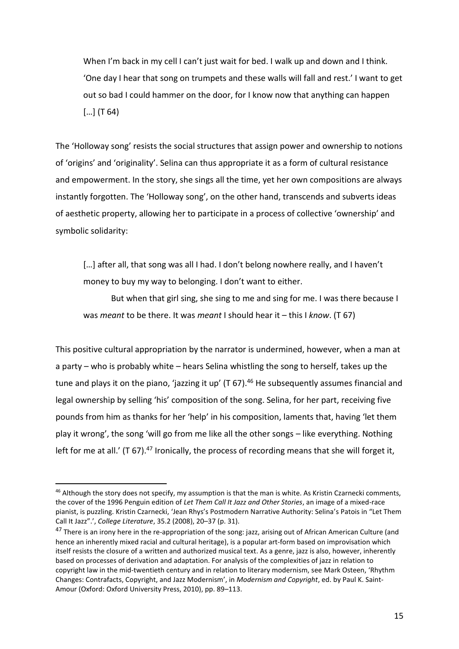When I'm back in my cell I can't just wait for bed. I walk up and down and I think. 'One day I hear that song on trumpets and these walls will fall and rest.' I want to get out so bad I could hammer on the door, for I know now that anything can happen  $[...]$  (T 64)

The 'Holloway song' resists the social structures that assign power and ownership to notions of 'origins' and 'originality'. Selina can thus appropriate it as a form of cultural resistance and empowerment. In the story, she sings all the time, yet her own compositions are always instantly forgotten. The 'Holloway song', on the other hand, transcends and subverts ideas of aesthetic property, allowing her to participate in a process of collective 'ownership' and symbolic solidarity:

[...] after all, that song was all I had. I don't belong nowhere really, and I haven't money to buy my way to belonging. I don't want to either.

But when that girl sing, she sing to me and sing for me. I was there because I was *meant* to be there. It was *meant* I should hear it – this I *know*. (T 67)

This positive cultural appropriation by the narrator is undermined, however, when a man at a party – who is probably white – hears Selina whistling the song to herself, takes up the tune and plays it on the piano, 'jazzing it up' (T 67).<sup>46</sup> He subsequently assumes financial and legal ownership by selling 'his' composition of the song. Selina, for her part, receiving five pounds from him as thanks for her 'help' in his composition, laments that, having 'let them play it wrong', the song 'will go from me like all the other songs – like everything. Nothing left for me at all.' (T 67). $47$  Ironically, the process of recording means that she will forget it,

<sup>&</sup>lt;sup>46</sup> Although the story does not specify, my assumption is that the man is white. As Kristin Czarnecki comments, the cover of the 1996 Penguin edition of *Let Them Call It Jazz and Other Stories*, an image of a mixed-race pianist, is puzzling. Kristin Czarnecki, 'Jean Rhys's Postmodern Narrative Authority: Selina's Patois in "Let Them Call It Jazz".', *College Literature*, 35.2 (2008), 20–37 (p. 31).

<sup>&</sup>lt;sup>47</sup> There is an irony here in the re-appropriation of the song: jazz, arising out of African American Culture (and hence an inherently mixed racial and cultural heritage), is a popular art-form based on improvisation which itself resists the closure of a written and authorized musical text. As a genre, jazz is also, however, inherently based on processes of derivation and adaptation. For analysis of the complexities of jazz in relation to copyright law in the mid-twentieth century and in relation to literary modernism, see Mark Osteen, 'Rhythm Changes: Contrafacts, Copyright, and Jazz Modernism', in *Modernism and Copyright*, ed. by Paul K. Saint-Amour (Oxford: Oxford University Press, 2010), pp. 89–113.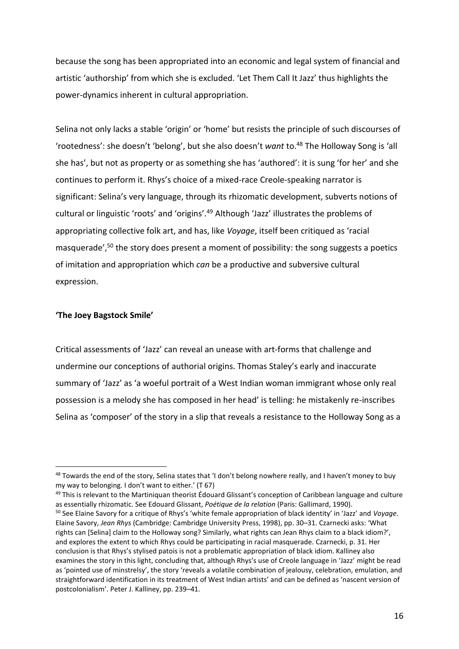because the song has been appropriated into an economic and legal system of financial and artistic 'authorship' from which she is excluded. 'Let Them Call It Jazz' thus highlights the power-dynamics inherent in cultural appropriation.

Selina not only lacks a stable 'origin' or 'home' but resists the principle of such discourses of 'rootedness': she doesn't 'belong', but she also doesn't *want* to.<sup>48</sup> The Holloway Song is 'all she has', but not as property or as something she has 'authored': it is sung 'for her' and she continues to perform it. Rhys's choice of a mixed-race Creole-speaking narrator is significant: Selina's very language, through its rhizomatic development, subverts notions of cultural or linguistic 'roots' and 'origins'.<sup>49</sup> Although 'Jazz' illustrates the problems of appropriating collective folk art, and has, like *Voyage*, itself been critiqued as 'racial masquerade',<sup>50</sup> the story does present a moment of possibility: the song suggests a poetics of imitation and appropriation which *can* be a productive and subversive cultural expression.

### **'The Joey Bagstock Smile'**

 $\overline{a}$ 

Critical assessments of 'Jazz' can reveal an unease with art-forms that challenge and undermine our conceptions of authorial origins. Thomas Staley's early and inaccurate summary of 'Jazz' as 'a woeful portrait of a West Indian woman immigrant whose only real possession is a melody she has composed in her head' is telling: he mistakenly re-inscribes Selina as 'composer' of the story in a slip that reveals a resistance to the Holloway Song as a

<sup>49</sup> This is relevant to the Martiniquan theorist Édouard Glissant's conception of Caribbean language and culture as essentially rhizomatic. See Edouard Glissant, *Poétique de la relation* (Paris: Gallimard, 1990).

<sup>&</sup>lt;sup>48</sup> Towards the end of the story, Selina states that 'I don't belong nowhere really, and I haven't money to buy my way to belonging. I don't want to either.' (T 67)

<sup>50</sup> See Elaine Savory for a critique of Rhys's 'white female appropriation of black identity' in 'Jazz' and *Voyage*. Elaine Savory, *Jean Rhys* (Cambridge: Cambridge University Press, 1998), pp. 30–31. Czarnecki asks: 'What rights can [Selina] claim to the Holloway song? Similarly, what rights can Jean Rhys claim to a black idiom?', and explores the extent to which Rhys could be participating in racial masquerade. Czarnecki, p. 31. Her conclusion is that Rhys's stylised patois is not a problematic appropriation of black idiom. Kalliney also examines the story in this light, concluding that, although Rhys's use of Creole language in 'Jazz' might be read as 'pointed use of minstrelsy', the story 'reveals a volatile combination of jealousy, celebration, emulation, and straightforward identification in its treatment of West Indian artists' and can be defined as 'nascent version of postcolonialism'. Peter J. Kalliney, pp. 239–41.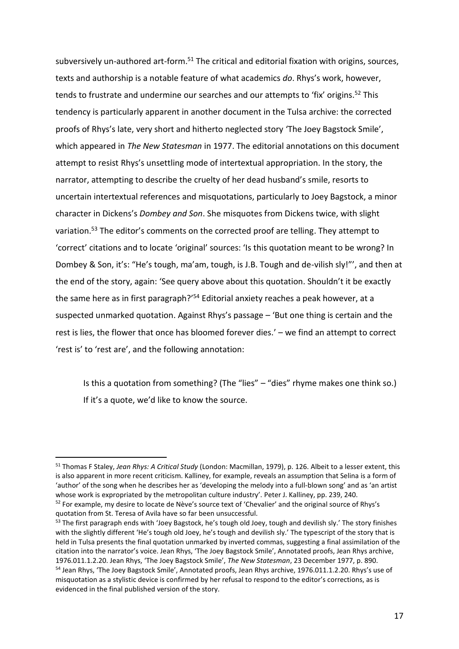subversively un-authored art-form.<sup>51</sup> The critical and editorial fixation with origins, sources, texts and authorship is a notable feature of what academics *do*. Rhys's work, however, tends to frustrate and undermine our searches and our attempts to 'fix' origins. <sup>52</sup> This tendency is particularly apparent in another document in the Tulsa archive: the corrected proofs of Rhys's late, very short and hitherto neglected story 'The Joey Bagstock Smile', which appeared in *The New Statesman* in 1977. The editorial annotations on this document attempt to resist Rhys's unsettling mode of intertextual appropriation. In the story, the narrator, attempting to describe the cruelty of her dead husband's smile, resorts to uncertain intertextual references and misquotations, particularly to Joey Bagstock, a minor character in Dickens's *Dombey and Son*. She misquotes from Dickens twice, with slight variation.<sup>53</sup> The editor's comments on the corrected proof are telling. They attempt to 'correct' citations and to locate 'original' sources: 'Is this quotation meant to be wrong? In Dombey & Son, it's: "He's tough, ma'am, tough, is J.B. Tough and de-vilish sly!"', and then at the end of the story, again: 'See query above about this quotation. Shouldn't it be exactly the same here as in first paragraph?<sup>'54</sup> Editorial anxiety reaches a peak however, at a suspected unmarked quotation. Against Rhys's passage – 'But one thing is certain and the rest is lies, the flower that once has bloomed forever dies.' – we find an attempt to correct 'rest is' to 'rest are', and the following annotation:

Is this a quotation from something? (The "lies" – "dies" rhyme makes one think so.) If it's a quote, we'd like to know the source.

<sup>51</sup> Thomas F Staley, *Jean Rhys: A Critical Study* (London: Macmillan, 1979), p. 126. Albeit to a lesser extent, this is also apparent in more recent criticism. Kalliney, for example, reveals an assumption that Selina is a form of 'author' of the song when he describes her as 'developing the melody into a full-blown song' and as 'an artist whose work is expropriated by the metropolitan culture industry'. Peter J. Kalliney, pp. 239, 240.

<sup>&</sup>lt;sup>52</sup> For example, my desire to locate de Nève's source text of 'Chevalier' and the original source of Rhys's quotation from St. Teresa of Avila have so far been unsuccessful.

<sup>53</sup> The first paragraph ends with 'Joey Bagstock, he's tough old Joey, tough and devilish sly.' The story finishes with the slightly different 'He's tough old Joey, he's tough and devilish sly.' The typescript of the story that is held in Tulsa presents the final quotation unmarked by inverted commas, suggesting a final assimilation of the citation into the narrator's voice. Jean Rhys, 'The Joey Bagstock Smile', Annotated proofs, Jean Rhys archive, 1976.011.1.2.20. Jean Rhys, 'The Joey Bagstock Smile', *The New Statesman*, 23 December 1977, p. 890.

<sup>&</sup>lt;sup>54</sup> Jean Rhys, 'The Joey Bagstock Smile', Annotated proofs, Jean Rhys archive, 1976.011.1.2.20. Rhys's use of misquotation as a stylistic device is confirmed by her refusal to respond to the editor's corrections, as is evidenced in the final published version of the story.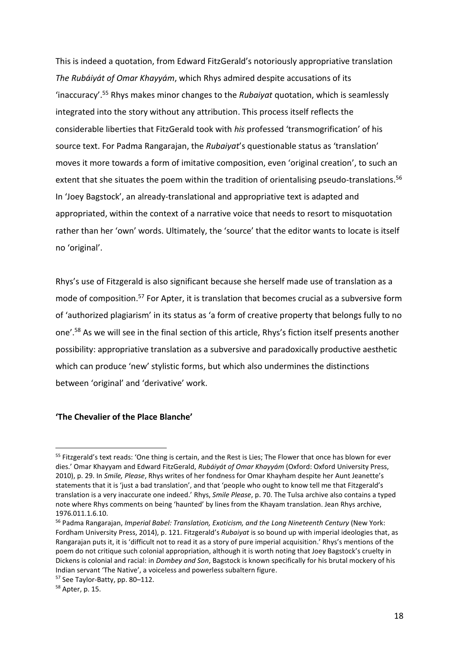This is indeed a quotation, from Edward FitzGerald's notoriously appropriative translation *The Rubáiyát of Omar Khayyám*, which Rhys admired despite accusations of its 'inaccuracy'.<sup>55</sup> Rhys makes minor changes to the *Rubaiyat* quotation, which is seamlessly integrated into the story without any attribution. This process itself reflects the considerable liberties that FitzGerald took with *his* professed 'transmogrification' of his source text. For Padma Rangarajan, the *Rubaiyat*'s questionable status as 'translation' moves it more towards a form of imitative composition, even 'original creation', to such an extent that she situates the poem within the tradition of orientalising pseudo-translations.<sup>56</sup> In 'Joey Bagstock', an already-translational and appropriative text is adapted and appropriated, within the context of a narrative voice that needs to resort to misquotation rather than her 'own' words. Ultimately, the 'source' that the editor wants to locate is itself no 'original'.

Rhys's use of Fitzgerald is also significant because she herself made use of translation as a mode of composition. <sup>57</sup> For Apter, it is translation that becomes crucial as a subversive form of 'authorized plagiarism' in its status as 'a form of creative property that belongs fully to no one'.<sup>58</sup> As we will see in the final section of this article, Rhys's fiction itself presents another possibility: appropriative translation as a subversive and paradoxically productive aesthetic which can produce 'new' stylistic forms, but which also undermines the distinctions between 'original' and 'derivative' work.

### **'The Chevalier of the Place Blanche'**

<sup>&</sup>lt;sup>55</sup> Fitzgerald's text reads: 'One thing is certain, and the Rest is Lies; The Flower that once has blown for ever dies.' Omar Khayyam and Edward FitzGerald, *Rubáiyát of Omar Khayyám* (Oxford: Oxford University Press, 2010), p. 29. In *Smile, Please*, Rhys writes of her fondness for Omar Khayham despite her Aunt Jeanette's statements that it is 'just a bad translation', and that 'people who ought to know tell me that Fitzgerald's translation is a very inaccurate one indeed.' Rhys, *Smile Please*, p. 70. The Tulsa archive also contains a typed note where Rhys comments on being 'haunted' by lines from the Khayam translation. Jean Rhys archive, 1976.011.1.6.10.

<sup>56</sup> Padma Rangarajan, *Imperial Babel: Translation, Exoticism, and the Long Nineteenth Century* (New York: Fordham University Press, 2014), p. 121. Fitzgerald's *Rubaiyat* is so bound up with imperial ideologies that, as Rangarajan puts it, it is 'difficult not to read it as a story of pure imperial acquisition.' Rhys's mentions of the poem do not critique such colonial appropriation, although it is worth noting that Joey Bagstock's cruelty in Dickens is colonial and racial: in *Dombey and Son*, Bagstock is known specifically for his brutal mockery of his Indian servant 'The Native', a voiceless and powerless subaltern figure.

<sup>57</sup> See Taylor-Batty, pp. 80–112.

<sup>58</sup> Apter, p. 15.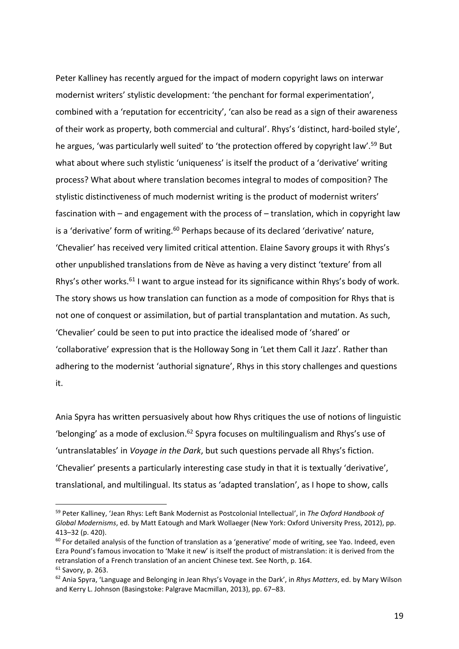Peter Kalliney has recently argued for the impact of modern copyright laws on interwar modernist writers' stylistic development: 'the penchant for formal experimentation', combined with a 'reputation for eccentricity', 'can also be read as a sign of their awareness of their work as property, both commercial and cultural'. Rhys's 'distinct, hard-boiled style', he argues, 'was particularly well suited' to 'the protection offered by copyright law'.<sup>59</sup> But what about where such stylistic 'uniqueness' is itself the product of a 'derivative' writing process? What about where translation becomes integral to modes of composition? The stylistic distinctiveness of much modernist writing is the product of modernist writers' fascination with – and engagement with the process of – translation, which in copyright law is a 'derivative' form of writing.<sup>60</sup> Perhaps because of its declared 'derivative' nature, 'Chevalier' has received very limited critical attention. Elaine Savory groups it with Rhys's other unpublished translations from de Nève as having a very distinct 'texture' from all Rhys's other works.<sup>61</sup> I want to argue instead for its significance within Rhys's body of work. The story shows us how translation can function as a mode of composition for Rhys that is not one of conquest or assimilation, but of partial transplantation and mutation. As such, 'Chevalier' could be seen to put into practice the idealised mode of 'shared' or 'collaborative' expression that is the Holloway Song in 'Let them Call it Jazz'. Rather than adhering to the modernist 'authorial signature', Rhys in this story challenges and questions it.

Ania Spyra has written persuasively about how Rhys critiques the use of notions of linguistic 'belonging' as a mode of exclusion.<sup>62</sup> Spyra focuses on multilingualism and Rhys's use of 'untranslatables' in *Voyage in the Dark*, but such questions pervade all Rhys's fiction. 'Chevalier' presents a particularly interesting case study in that it is textually 'derivative', translational, and multilingual. Its status as 'adapted translation', as I hope to show, calls

<sup>59</sup> Peter Kalliney, 'Jean Rhys: Left Bank Modernist as Postcolonial Intellectual', in *The Oxford Handbook of Global Modernisms*, ed. by Matt Eatough and Mark Wollaeger (New York: Oxford University Press, 2012), pp. 413–32 (p. 420).

 $60$  For detailed analysis of the function of translation as a 'generative' mode of writing, see Yao. Indeed, even Ezra Pound's famous invocation to 'Make it new' is itself the product of mistranslation: it is derived from the retranslation of a French translation of an ancient Chinese text. See North, p. 164. <sup>61</sup> Savory, p. 263.

<sup>62</sup> Ania Spyra, 'Language and Belonging in Jean Rhys's Voyage in the Dark', in *Rhys Matters*, ed. by Mary Wilson and Kerry L. Johnson (Basingstoke: Palgrave Macmillan, 2013), pp. 67–83.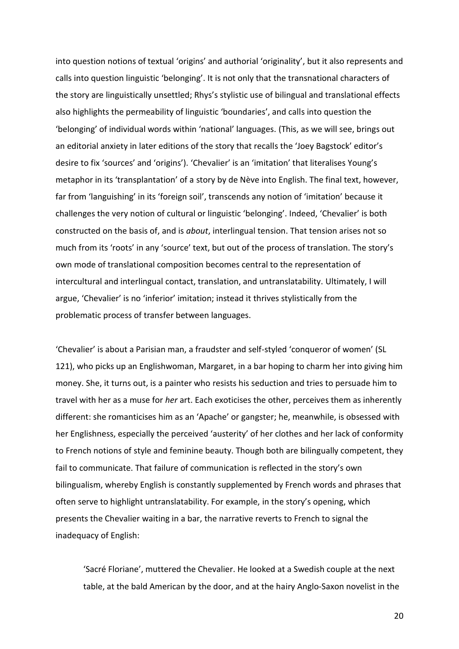into question notions of textual 'origins' and authorial 'originality', but it also represents and calls into question linguistic 'belonging'. It is not only that the transnational characters of the story are linguistically unsettled; Rhys's stylistic use of bilingual and translational effects also highlights the permeability of linguistic 'boundaries', and calls into question the 'belonging' of individual words within 'national' languages. (This, as we will see, brings out an editorial anxiety in later editions of the story that recalls the 'Joey Bagstock' editor's desire to fix 'sources' and 'origins'). 'Chevalier' is an 'imitation' that literalises Young's metaphor in its 'transplantation' of a story by de Nève into English. The final text, however, far from 'languishing' in its 'foreign soil', transcends any notion of 'imitation' because it challenges the very notion of cultural or linguistic 'belonging'. Indeed, 'Chevalier' is both constructed on the basis of, and is *about*, interlingual tension. That tension arises not so much from its 'roots' in any 'source' text, but out of the process of translation. The story's own mode of translational composition becomes central to the representation of intercultural and interlingual contact, translation, and untranslatability. Ultimately, I will argue, 'Chevalier' is no 'inferior' imitation; instead it thrives stylistically from the problematic process of transfer between languages.

'Chevalier' is about a Parisian man, a fraudster and self-styled 'conqueror of women' (SL 121), who picks up an Englishwoman, Margaret, in a bar hoping to charm her into giving him money. She, it turns out, is a painter who resists his seduction and tries to persuade him to travel with her as a muse for *her* art. Each exoticises the other, perceives them as inherently different: she romanticises him as an 'Apache' or gangster; he, meanwhile, is obsessed with her Englishness, especially the perceived 'austerity' of her clothes and her lack of conformity to French notions of style and feminine beauty. Though both are bilingually competent, they fail to communicate. That failure of communication is reflected in the story's own bilingualism, whereby English is constantly supplemented by French words and phrases that often serve to highlight untranslatability. For example, in the story's opening, which presents the Chevalier waiting in a bar, the narrative reverts to French to signal the inadequacy of English:

'Sacré Floriane', muttered the Chevalier. He looked at a Swedish couple at the next table, at the bald American by the door, and at the hairy Anglo-Saxon novelist in the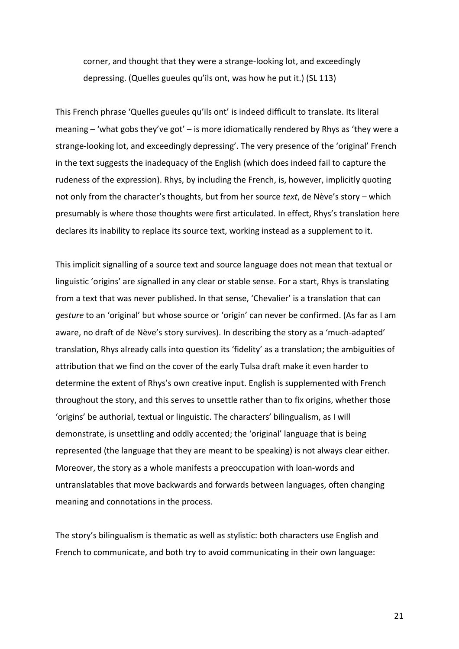corner, and thought that they were a strange-looking lot, and exceedingly depressing. (Quelles gueules qu'ils ont, was how he put it.) (SL 113)

This French phrase 'Quelles gueules qu'ils ont' is indeed difficult to translate. Its literal meaning – 'what gobs they've got' – is more idiomatically rendered by Rhys as 'they were a strange-looking lot, and exceedingly depressing'. The very presence of the 'original' French in the text suggests the inadequacy of the English (which does indeed fail to capture the rudeness of the expression). Rhys, by including the French, is, however, implicitly quoting not only from the character's thoughts, but from her source *text*, de Nève's story – which presumably is where those thoughts were first articulated. In effect, Rhys's translation here declares its inability to replace its source text, working instead as a supplement to it.

This implicit signalling of a source text and source language does not mean that textual or linguistic 'origins' are signalled in any clear or stable sense. For a start, Rhys is translating from a text that was never published. In that sense, 'Chevalier' is a translation that can *gesture* to an 'original' but whose source or 'origin' can never be confirmed. (As far as I am aware, no draft of de Nève's story survives). In describing the story as a 'much-adapted' translation, Rhys already calls into question its 'fidelity' as a translation; the ambiguities of attribution that we find on the cover of the early Tulsa draft make it even harder to determine the extent of Rhys's own creative input. English is supplemented with French throughout the story, and this serves to unsettle rather than to fix origins, whether those 'origins' be authorial, textual or linguistic. The characters' bilingualism, as I will demonstrate, is unsettling and oddly accented; the 'original' language that is being represented (the language that they are meant to be speaking) is not always clear either. Moreover, the story as a whole manifests a preoccupation with loan-words and untranslatables that move backwards and forwards between languages, often changing meaning and connotations in the process.

The story's bilingualism is thematic as well as stylistic: both characters use English and French to communicate, and both try to avoid communicating in their own language:

21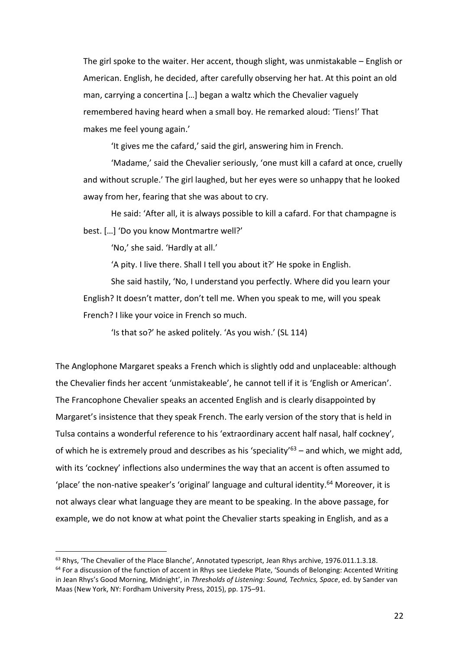The girl spoke to the waiter. Her accent, though slight, was unmistakable – English or American. English, he decided, after carefully observing her hat. At this point an old man, carrying a concertina […] began a waltz which the Chevalier vaguely remembered having heard when a small boy. He remarked aloud: 'Tiens!' That makes me feel young again.'

'It gives me the cafard,' said the girl, answering him in French.

'Madame,' said the Chevalier seriously, 'one must kill a cafard at once, cruelly and without scruple.' The girl laughed, but her eyes were so unhappy that he looked away from her, fearing that she was about to cry.

He said: 'After all, it is always possible to kill a cafard. For that champagne is best. […] 'Do you know Montmartre well?'

'No,' she said. 'Hardly at all.'

 $\overline{a}$ 

'A pity. I live there. Shall I tell you about it?' He spoke in English.

She said hastily, 'No, I understand you perfectly. Where did you learn your English? It doesn't matter, don't tell me. When you speak to me, will you speak French? I like your voice in French so much.

'Is that so?' he asked politely. 'As you wish.' (SL 114)

The Anglophone Margaret speaks a French which is slightly odd and unplaceable: although the Chevalier finds her accent 'unmistakeable', he cannot tell if it is 'English or American'. The Francophone Chevalier speaks an accented English and is clearly disappointed by Margaret's insistence that they speak French. The early version of the story that is held in Tulsa contains a wonderful reference to his 'extraordinary accent half nasal, half cockney', of which he is extremely proud and describes as his 'speciality'<sup>63</sup> – and which, we might add, with its 'cockney' inflections also undermines the way that an accent is often assumed to 'place' the non-native speaker's 'original' language and cultural identity.<sup>64</sup> Moreover, it is not always clear what language they are meant to be speaking. In the above passage, for example, we do not know at what point the Chevalier starts speaking in English, and as a

<sup>&</sup>lt;sup>63</sup> Rhys, 'The Chevalier of the Place Blanche', Annotated typescript, Jean Rhys archive, 1976.011.1.3.18. <sup>64</sup> For a discussion of the function of accent in Rhys see Liedeke Plate, 'Sounds of Belonging: Accented Writing in Jean Rhys's Good Morning, Midnight', in *Thresholds of Listening: Sound, Technics, Space*, ed. by Sander van Maas (New York, NY: Fordham University Press, 2015), pp. 175–91.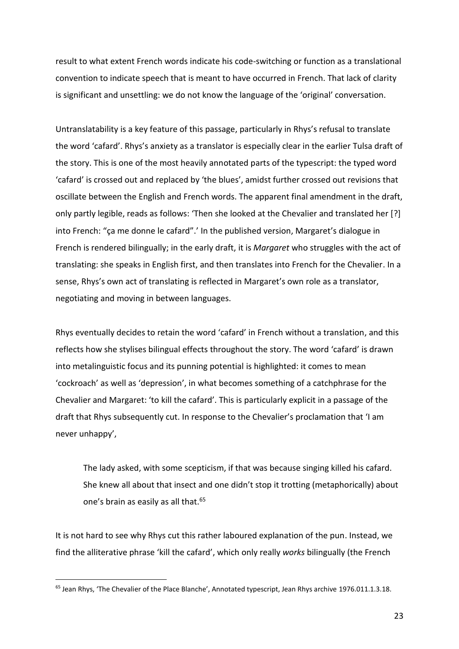result to what extent French words indicate his code-switching or function as a translational convention to indicate speech that is meant to have occurred in French. That lack of clarity is significant and unsettling: we do not know the language of the 'original' conversation.

Untranslatability is a key feature of this passage, particularly in Rhys's refusal to translate the word 'cafard'. Rhys's anxiety as a translator is especially clear in the earlier Tulsa draft of the story. This is one of the most heavily annotated parts of the typescript: the typed word 'cafard' is crossed out and replaced by 'the blues', amidst further crossed out revisions that oscillate between the English and French words. The apparent final amendment in the draft, only partly legible, reads as follows: 'Then she looked at the Chevalier and translated her [?] into French: "ça me donne le cafard".' In the published version, Margaret's dialogue in French is rendered bilingually; in the early draft, it is *Margaret* who struggles with the act of translating: she speaks in English first, and then translates into French for the Chevalier. In a sense, Rhys's own act of translating is reflected in Margaret's own role as a translator, negotiating and moving in between languages.

Rhys eventually decides to retain the word 'cafard' in French without a translation, and this reflects how she stylises bilingual effects throughout the story. The word 'cafard' is drawn into metalinguistic focus and its punning potential is highlighted: it comes to mean 'cockroach' as well as 'depression', in what becomes something of a catchphrase for the Chevalier and Margaret: 'to kill the cafard'. This is particularly explicit in a passage of the draft that Rhys subsequently cut. In response to the Chevalier's proclamation that 'I am never unhappy',

The lady asked, with some scepticism, if that was because singing killed his cafard. She knew all about that insect and one didn't stop it trotting (metaphorically) about one's brain as easily as all that.<sup>65</sup>

It is not hard to see why Rhys cut this rather laboured explanation of the pun. Instead, we find the alliterative phrase 'kill the cafard', which only really *works* bilingually (the French

<sup>65</sup> Jean Rhys, 'The Chevalier of the Place Blanche', Annotated typescript, Jean Rhys archive 1976.011.1.3.18.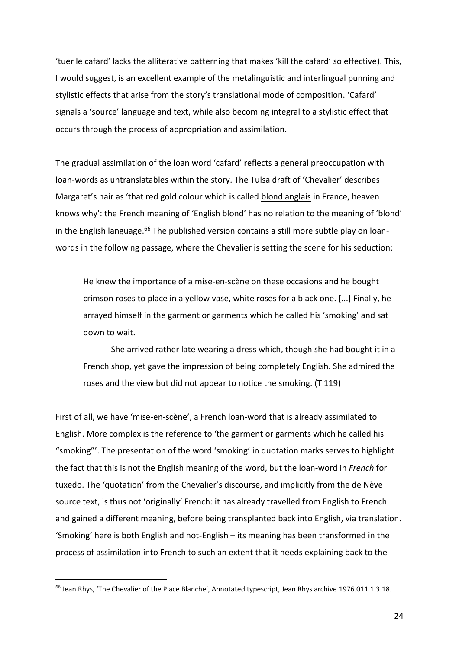'tuer le cafard' lacks the alliterative patterning that makes 'kill the cafard' so effective). This, I would suggest, is an excellent example of the metalinguistic and interlingual punning and stylistic effects that arise from the story's translational mode of composition. 'Cafard' signals a 'source' language and text, while also becoming integral to a stylistic effect that occurs through the process of appropriation and assimilation.

The gradual assimilation of the loan word 'cafard' reflects a general preoccupation with loan-words as untranslatables within the story. The Tulsa draft of 'Chevalier' describes Margaret's hair as 'that red gold colour which is called blond anglais in France, heaven knows why': the French meaning of 'English blond' has no relation to the meaning of 'blond' in the English language.<sup>66</sup> The published version contains a still more subtle play on loanwords in the following passage, where the Chevalier is setting the scene for his seduction:

He knew the importance of a mise-en-scène on these occasions and he bought crimson roses to place in a yellow vase, white roses for a black one. [...] Finally, he arrayed himself in the garment or garments which he called his 'smoking' and sat down to wait.

She arrived rather late wearing a dress which, though she had bought it in a French shop, yet gave the impression of being completely English. She admired the roses and the view but did not appear to notice the smoking. (T 119)

First of all, we have 'mise-en-scène', a French loan-word that is already assimilated to English. More complex is the reference to 'the garment or garments which he called his "smoking"'. The presentation of the word 'smoking' in quotation marks serves to highlight the fact that this is not the English meaning of the word, but the loan-word in *French* for tuxedo. The 'quotation' from the Chevalier's discourse, and implicitly from the de Nève source text, is thus not 'originally' French: it has already travelled from English to French and gained a different meaning, before being transplanted back into English, via translation. 'Smoking' here is both English and not-English – its meaning has been transformed in the process of assimilation into French to such an extent that it needs explaining back to the

<sup>&</sup>lt;sup>66</sup> Jean Rhys, 'The Chevalier of the Place Blanche', Annotated typescript, Jean Rhys archive 1976.011.1.3.18.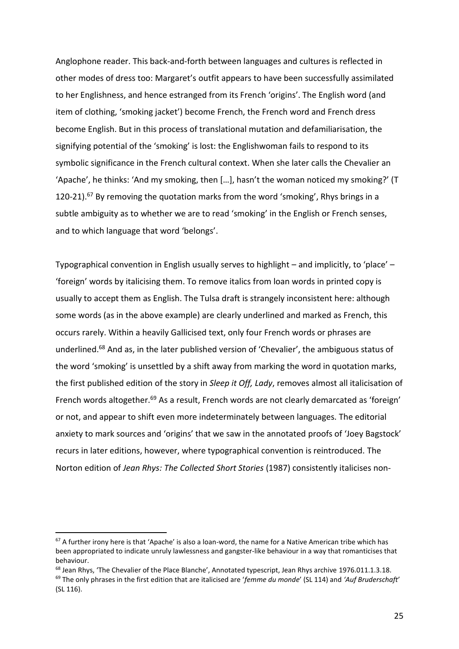Anglophone reader. This back-and-forth between languages and cultures is reflected in other modes of dress too: Margaret's outfit appears to have been successfully assimilated to her Englishness, and hence estranged from its French 'origins'. The English word (and item of clothing, 'smoking jacket') become French, the French word and French dress become English. But in this process of translational mutation and defamiliarisation, the signifying potential of the 'smoking' is lost: the Englishwoman fails to respond to its symbolic significance in the French cultural context. When she later calls the Chevalier an 'Apache', he thinks: 'And my smoking, then […], hasn't the woman noticed my smoking?' (T 120-21).<sup>67</sup> By removing the quotation marks from the word 'smoking', Rhys brings in a subtle ambiguity as to whether we are to read 'smoking' in the English or French senses, and to which language that word 'belongs'.

Typographical convention in English usually serves to highlight – and implicitly, to 'place' – 'foreign' words by italicising them. To remove italics from loan words in printed copy is usually to accept them as English. The Tulsa draft is strangely inconsistent here: although some words (as in the above example) are clearly underlined and marked as French, this occurs rarely. Within a heavily Gallicised text, only four French words or phrases are underlined. <sup>68</sup> And as, in the later published version of 'Chevalier', the ambiguous status of the word 'smoking' is unsettled by a shift away from marking the word in quotation marks, the first published edition of the story in *Sleep it Off, Lady*, removes almost all italicisation of French words altogether.<sup>69</sup> As a result, French words are not clearly demarcated as 'foreign' or not, and appear to shift even more indeterminately between languages. The editorial anxiety to mark sources and 'origins' that we saw in the annotated proofs of 'Joey Bagstock' recurs in later editions, however, where typographical convention is reintroduced. The Norton edition of *Jean Rhys: The Collected Short Stories* (1987) consistently italicises non-

 $\overline{a}$ 

<sup>68</sup> Jean Rhys, 'The Chevalier of the Place Blanche', Annotated typescript, Jean Rhys archive 1976.011.1.3.18.

<sup>67</sup> A further irony here is that 'Apache' is also a loan-word, the name for a Native American tribe which has been appropriated to indicate unruly lawlessness and gangster-like behaviour in a way that romanticises that behaviour.

<sup>69</sup> The only phrases in the first edition that are italicised are '*femme du monde*' (SL 114) and *'Auf Bruderschaft*' (SL 116).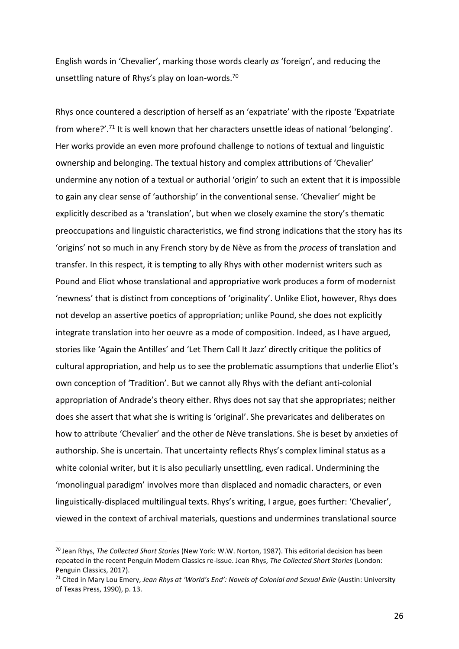English words in 'Chevalier', marking those words clearly *as* 'foreign', and reducing the unsettling nature of Rhys's play on loan-words.<sup>70</sup>

Rhys once countered a description of herself as an 'expatriate' with the riposte 'Expatriate from where?'.<sup>71</sup> It is well known that her characters unsettle ideas of national 'belonging'. Her works provide an even more profound challenge to notions of textual and linguistic ownership and belonging. The textual history and complex attributions of 'Chevalier' undermine any notion of a textual or authorial 'origin' to such an extent that it is impossible to gain any clear sense of 'authorship' in the conventional sense. 'Chevalier' might be explicitly described as a 'translation', but when we closely examine the story's thematic preoccupations and linguistic characteristics, we find strong indications that the story has its 'origins' not so much in any French story by de Nève as from the *process* of translation and transfer. In this respect, it is tempting to ally Rhys with other modernist writers such as Pound and Eliot whose translational and appropriative work produces a form of modernist 'newness' that is distinct from conceptions of 'originality'. Unlike Eliot, however, Rhys does not develop an assertive poetics of appropriation; unlike Pound, she does not explicitly integrate translation into her oeuvre as a mode of composition. Indeed, as I have argued, stories like 'Again the Antilles' and 'Let Them Call It Jazz' directly critique the politics of cultural appropriation, and help us to see the problematic assumptions that underlie Eliot's own conception of 'Tradition'. But we cannot ally Rhys with the defiant anti-colonial appropriation of Andrade's theory either. Rhys does not say that she appropriates; neither does she assert that what she is writing is 'original'. She prevaricates and deliberates on how to attribute 'Chevalier' and the other de Nève translations. She is beset by anxieties of authorship. She is uncertain. That uncertainty reflects Rhys's complex liminal status as a white colonial writer, but it is also peculiarly unsettling, even radical. Undermining the 'monolingual paradigm' involves more than displaced and nomadic characters, or even linguistically-displaced multilingual texts. Rhys's writing, I argue, goes further: 'Chevalier', viewed in the context of archival materials, questions and undermines translational source

<sup>70</sup> Jean Rhys, *The Collected Short Stories* (New York: W.W. Norton, 1987). This editorial decision has been repeated in the recent Penguin Modern Classics re-issue. Jean Rhys, *The Collected Short Stories* (London: Penguin Classics, 2017).

<sup>71</sup> Cited in Mary Lou Emery, *Jean Rhys at 'World's End': Novels of Colonial and Sexual Exile* (Austin: University of Texas Press, 1990), p. 13.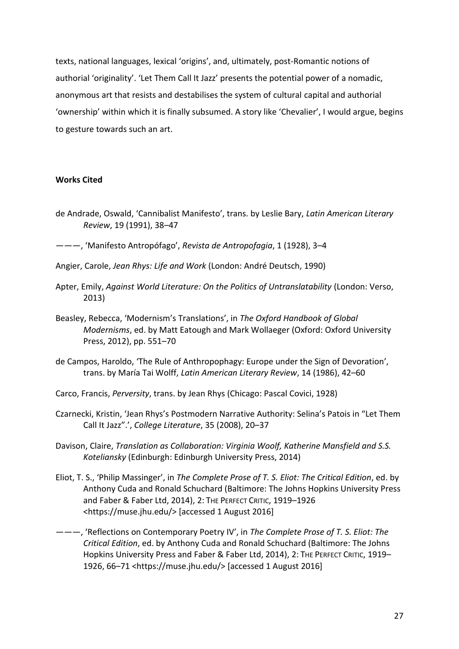texts, national languages, lexical 'origins', and, ultimately, post-Romantic notions of authorial 'originality'. 'Let Them Call It Jazz' presents the potential power of a nomadic, anonymous art that resists and destabilises the system of cultural capital and authorial 'ownership' within which it is finally subsumed. A story like 'Chevalier', I would argue, begins to gesture towards such an art.

### **Works Cited**

- de Andrade, Oswald, 'Cannibalist Manifesto', trans. by Leslie Bary, *Latin American Literary Review*, 19 (1991), 38–47
- ———, 'Manifesto Antropófago', *Revista de Antropofagia*, 1 (1928), 3–4
- Angier, Carole, *Jean Rhys: Life and Work* (London: André Deutsch, 1990)
- Apter, Emily, *Against World Literature: On the Politics of Untranslatability* (London: Verso, 2013)
- Beasley, Rebecca, 'Modernism's Translations', in *The Oxford Handbook of Global Modernisms*, ed. by Matt Eatough and Mark Wollaeger (Oxford: Oxford University Press, 2012), pp. 551–70
- de Campos, Haroldo, 'The Rule of Anthropophagy: Europe under the Sign of Devoration', trans. by María Tai Wolff, *Latin American Literary Review*, 14 (1986), 42–60
- Carco, Francis, *Perversity*, trans. by Jean Rhys (Chicago: Pascal Covici, 1928)
- Czarnecki, Kristin, 'Jean Rhys's Postmodern Narrative Authority: Selina's Patois in "Let Them Call It Jazz".', *College Literature*, 35 (2008), 20–37
- Davison, Claire, *Translation as Collaboration: Virginia Woolf, Katherine Mansfield and S.S. Koteliansky* (Edinburgh: Edinburgh University Press, 2014)
- Eliot, T. S., 'Philip Massinger', in *The Complete Prose of T. S. Eliot: The Critical Edition*, ed. by Anthony Cuda and Ronald Schuchard (Baltimore: The Johns Hopkins University Press and Faber & Faber Ltd, 2014), 2: THE PERFECT CRITIC, 1919–1926 <https://muse.jhu.edu/> [accessed 1 August 2016]
- ———, 'Reflections on Contemporary Poetry IV', in *The Complete Prose of T. S. Eliot: The Critical Edition*, ed. by Anthony Cuda and Ronald Schuchard (Baltimore: The Johns Hopkins University Press and Faber & Faber Ltd, 2014), 2: THE PERFECT CRITIC, 1919-1926, 66–71 <https://muse.jhu.edu/> [accessed 1 August 2016]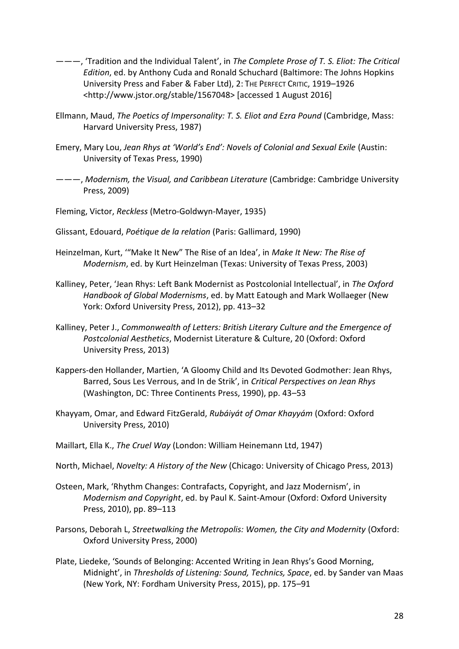- ———, 'Tradition and the Individual Talent', in *The Complete Prose of T. S. Eliot: The Critical Edition*, ed. by Anthony Cuda and Ronald Schuchard (Baltimore: The Johns Hopkins University Press and Faber & Faber Ltd), 2: THE PERFECT CRITIC, 1919–1926 <http://www.jstor.org/stable/1567048> [accessed 1 August 2016]
- Ellmann, Maud, *The Poetics of Impersonality: T. S. Eliot and Ezra Pound* (Cambridge, Mass: Harvard University Press, 1987)
- Emery, Mary Lou, *Jean Rhys at 'World's End': Novels of Colonial and Sexual Exile* (Austin: University of Texas Press, 1990)
- ———, *Modernism, the Visual, and Caribbean Literature* (Cambridge: Cambridge University Press, 2009)
- Fleming, Victor, *Reckless* (Metro-Goldwyn-Mayer, 1935)
- Glissant, Edouard, *Poétique de la relation* (Paris: Gallimard, 1990)
- Heinzelman, Kurt, '"Make It New" The Rise of an Idea', in *Make It New: The Rise of Modernism*, ed. by Kurt Heinzelman (Texas: University of Texas Press, 2003)
- Kalliney, Peter, 'Jean Rhys: Left Bank Modernist as Postcolonial Intellectual', in *The Oxford Handbook of Global Modernisms*, ed. by Matt Eatough and Mark Wollaeger (New York: Oxford University Press, 2012), pp. 413–32
- Kalliney, Peter J., *Commonwealth of Letters: British Literary Culture and the Emergence of Postcolonial Aesthetics*, Modernist Literature & Culture, 20 (Oxford: Oxford University Press, 2013)
- Kappers-den Hollander, Martien, 'A Gloomy Child and Its Devoted Godmother: Jean Rhys, Barred, Sous Les Verrous, and In de Strik', in *Critical Perspectives on Jean Rhys* (Washington, DC: Three Continents Press, 1990), pp. 43–53
- Khayyam, Omar, and Edward FitzGerald, *Rubáiyát of Omar Khayyám* (Oxford: Oxford University Press, 2010)
- Maillart, Ella K., *The Cruel Way* (London: William Heinemann Ltd, 1947)
- North, Michael, *Novelty: A History of the New* (Chicago: University of Chicago Press, 2013)
- Osteen, Mark, 'Rhythm Changes: Contrafacts, Copyright, and Jazz Modernism', in *Modernism and Copyright*, ed. by Paul K. Saint-Amour (Oxford: Oxford University Press, 2010), pp. 89–113
- Parsons, Deborah L, *Streetwalking the Metropolis: Women, the City and Modernity* (Oxford: Oxford University Press, 2000)
- Plate, Liedeke, 'Sounds of Belonging: Accented Writing in Jean Rhys's Good Morning, Midnight', in *Thresholds of Listening: Sound, Technics, Space*, ed. by Sander van Maas (New York, NY: Fordham University Press, 2015), pp. 175–91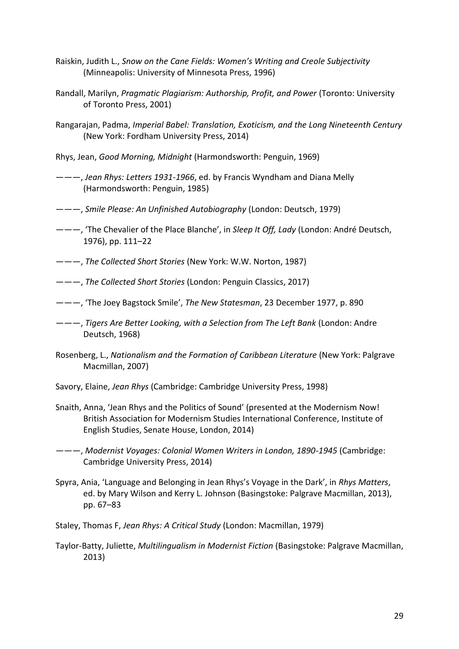- Raiskin, Judith L., *Snow on the Cane Fields: Women's Writing and Creole Subjectivity* (Minneapolis: University of Minnesota Press, 1996)
- Randall, Marilyn, *Pragmatic Plagiarism: Authorship, Profit, and Power* (Toronto: University of Toronto Press, 2001)
- Rangarajan, Padma, *Imperial Babel: Translation, Exoticism, and the Long Nineteenth Century* (New York: Fordham University Press, 2014)
- Rhys, Jean, *Good Morning, Midnight* (Harmondsworth: Penguin, 1969)
- ———, *Jean Rhys: Letters 1931-1966*, ed. by Francis Wyndham and Diana Melly (Harmondsworth: Penguin, 1985)
- ———, *Smile Please: An Unfinished Autobiography* (London: Deutsch, 1979)
- ———, 'The Chevalier of the Place Blanche', in *Sleep It Off, Lady* (London: André Deutsch, 1976), pp. 111–22
- ———, *The Collected Short Stories* (New York: W.W. Norton, 1987)
- ———, *The Collected Short Stories* (London: Penguin Classics, 2017)
- ———, 'The Joey Bagstock Smile', *The New Statesman*, 23 December 1977, p. 890
- ———, *Tigers Are Better Looking, with a Selection from The Left Bank* (London: Andre Deutsch, 1968)
- Rosenberg, L., *Nationalism and the Formation of Caribbean Literature* (New York: Palgrave Macmillan, 2007)
- Savory, Elaine, *Jean Rhys* (Cambridge: Cambridge University Press, 1998)
- Snaith, Anna, 'Jean Rhys and the Politics of Sound' (presented at the Modernism Now! British Association for Modernism Studies International Conference, Institute of English Studies, Senate House, London, 2014)
- ———, *Modernist Voyages: Colonial Women Writers in London, 1890-1945* (Cambridge: Cambridge University Press, 2014)
- Spyra, Ania, 'Language and Belonging in Jean Rhys's Voyage in the Dark', in *Rhys Matters*, ed. by Mary Wilson and Kerry L. Johnson (Basingstoke: Palgrave Macmillan, 2013), pp. 67–83
- Staley, Thomas F, *Jean Rhys: A Critical Study* (London: Macmillan, 1979)
- Taylor-Batty, Juliette, *Multilingualism in Modernist Fiction* (Basingstoke: Palgrave Macmillan, 2013)